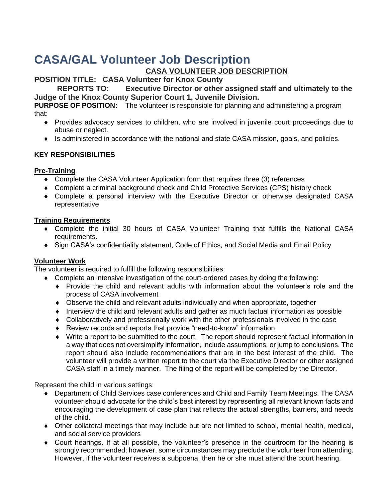# **CASA/GAL Volunteer Job Description**

## **CASA VOLUNTEER JOB DESCRIPTION**

**POSITION TITLE: CASA Volunteer for Knox County**

**REPORTS TO: Executive Director or other assigned staff and ultimately to the Judge of the Knox County Superior Court 1, Juvenile Division.** 

**PURPOSE OF POSITION:** The volunteer is responsible for planning and administering a program that:

- Provides advocacy services to children, who are involved in juvenile court proceedings due to abuse or neglect.
- Is administered in accordance with the national and state CASA mission, goals, and policies.

## **KEY RESPONSIBILITIES**

## **Pre-Training**

- Complete the CASA Volunteer Application form that requires three (3) references
- Complete a criminal background check and Child Protective Services (CPS) history check
- Complete a personal interview with the Executive Director or otherwise designated CASA representative

### **Training Requirements**

- Complete the initial 30 hours of CASA Volunteer Training that fulfills the National CASA requirements.
- Sign CASA's confidentiality statement, Code of Ethics, and Social Media and Email Policy

## **Volunteer Work**

The volunteer is required to fulfill the following responsibilities:

- Complete an intensive investigation of the court-ordered cases by doing the following:
	- Provide the child and relevant adults with information about the volunteer's role and the process of CASA involvement
	- Observe the child and relevant adults individually and when appropriate, together
	- Interview the child and relevant adults and gather as much factual information as possible
	- Collaboratively and professionally work with the other professionals involved in the case
	- Review records and reports that provide "need-to-know" information
	- Write a report to be submitted to the court. The report should represent factual information in a way that does not oversimplify information, include assumptions, or jump to conclusions. The report should also include recommendations that are in the best interest of the child. The volunteer will provide a written report to the court via the Executive Director or other assigned CASA staff in a timely manner. The filing of the report will be completed by the Director.

Represent the child in various settings:

- Department of Child Services case conferences and Child and Family Team Meetings. The CASA volunteer should advocate for the child's best interest by representing all relevant known facts and encouraging the development of case plan that reflects the actual strengths, barriers, and needs of the child.
- Other collateral meetings that may include but are not limited to school, mental health, medical, and social service providers
- Court hearings. If at all possible, the volunteer's presence in the courtroom for the hearing is strongly recommended; however, some circumstances may preclude the volunteer from attending. However, if the volunteer receives a subpoena, then he or she must attend the court hearing.